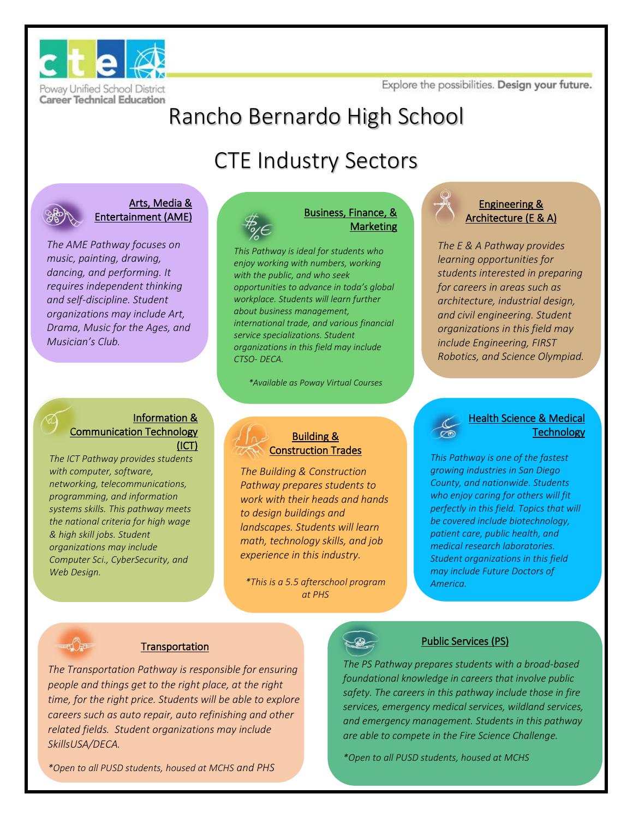Explore the possibilities. Design your future.



# Rancho Bernardo High School

# CTE Industry Sectors



#### Arts, Media & Entertainment (AME)

*The AME Pathway focuses on music, painting, drawing, dancing, and performing. It requires independent thinking and self-discipline. Student organizations may include Art, Drama, Music for the Ages, and Musician's Club.* 

#### Information & Communication Technology (ICT)

*The ICT Pathway provides students with computer, software, networking, telecommunications, programming, and information systems skills. This pathway meets the national criteria for high wage & high skill jobs. Student organizations may include Computer Sci., CyberSecurity, and Web Design.* 



#### Business, Finance, & Marketing

*This Pathway is ideal for students who enjoy working with numbers, working with the public, and who seek opportunities to advance in toda's global workplace. Students will learn further about business management, international trade, and various financial service specializations. Student organizations in this field may include CTSO- DECA.* 

*\*Available as Poway Virtual Courses*

### Engineering & Architecture (E & A)

*The E & A Pathway provides learning opportunities for students interested in preparing for careers in areas such as architecture, industrial design, and civil engineering. Student organizations in this field may include Engineering, FIRST Robotics, and Science Olympiad.* 



### Building & Construction Trades

*The Building & Construction Pathway prepares students to work with their heads and hands to design buildings and landscapes. Students will learn math, technology skills, and job experience in this industry.* 

*\*This is a 5.5 afterschool program at PHS*



*This Pathway is one of the fastest growing industries in San Diego County, and nationwide. Students who enjoy caring for others will fit perfectly in this field. Topics that will be covered include biotechnology, patient care, public health, and medical research laboratories. Student organizations in this field may include Future Doctors of America.* 

### **Transportation**

*The Transportation Pathway is responsible for ensuring people and things get to the right place, at the right time, for the right price. Students will be able to explore careers such as auto repair, auto refinishing and other related fields. Student organizations may include SkillsUSA/DECA.*

### Public Services (PS)

*The PS Pathway prepares students with a broad-based foundational knowledge in careers that involve public safety. The careers in this pathway include those in fire services, emergency medical services, wildland services, and emergency management. Students in this pathway are able to compete in the Fire Science Challenge.* 

*\*Open to all PUSD students, housed at MCHS*

*\*Open to all PUSD students, housed at MCHS and PHS*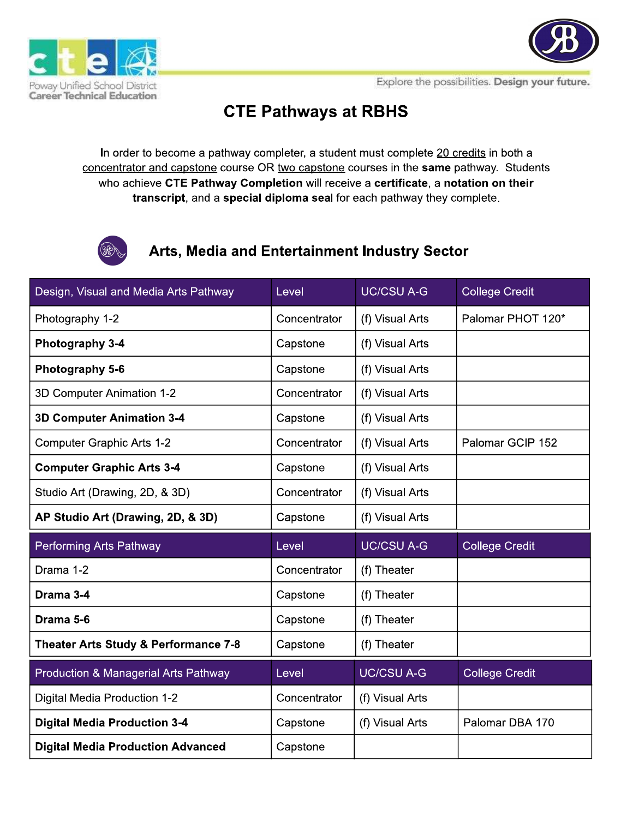



Explore the possibilities. Design your future.

## **CTE Pathways at RBHS**

In order to become a pathway completer, a student must complete 20 credits in both a concentrator and capstone course OR two capstone courses in the same pathway. Students who achieve CTE Pathway Completion will receive a certificate, a notation on their transcript, and a special diploma seal for each pathway they complete.



## Arts, Media and Entertainment Industry Sector

| Design, Visual and Media Arts Pathway    | Level        | <b>UC/CSU A-G</b> | <b>College Credit</b> |
|------------------------------------------|--------------|-------------------|-----------------------|
| Photography 1-2                          | Concentrator | (f) Visual Arts   | Palomar PHOT 120*     |
| Photography 3-4                          | Capstone     | (f) Visual Arts   |                       |
| Photography 5-6                          | Capstone     | (f) Visual Arts   |                       |
| 3D Computer Animation 1-2                | Concentrator | (f) Visual Arts   |                       |
| <b>3D Computer Animation 3-4</b>         | Capstone     | (f) Visual Arts   |                       |
| <b>Computer Graphic Arts 1-2</b>         | Concentrator | (f) Visual Arts   | Palomar GCIP 152      |
| <b>Computer Graphic Arts 3-4</b>         | Capstone     | (f) Visual Arts   |                       |
| Studio Art (Drawing, 2D, & 3D)           | Concentrator | (f) Visual Arts   |                       |
| AP Studio Art (Drawing, 2D, & 3D)        | Capstone     | (f) Visual Arts   |                       |
| <b>Performing Arts Pathway</b>           | Level        | <b>UC/CSU A-G</b> | <b>College Credit</b> |
| Drama 1-2                                | Concentrator | (f) Theater       |                       |
| Drama 3-4                                | Capstone     | (f) Theater       |                       |
| Drama 5-6                                | Capstone     | (f) Theater       |                       |
| Theater Arts Study & Performance 7-8     | Capstone     | (f) Theater       |                       |
| Production & Managerial Arts Pathway     | Level        | <b>UC/CSU A-G</b> | <b>College Credit</b> |
| Digital Media Production 1-2             | Concentrator | (f) Visual Arts   |                       |
| <b>Digital Media Production 3-4</b>      | Capstone     | (f) Visual Arts   | Palomar DBA 170       |
| <b>Digital Media Production Advanced</b> | Capstone     |                   |                       |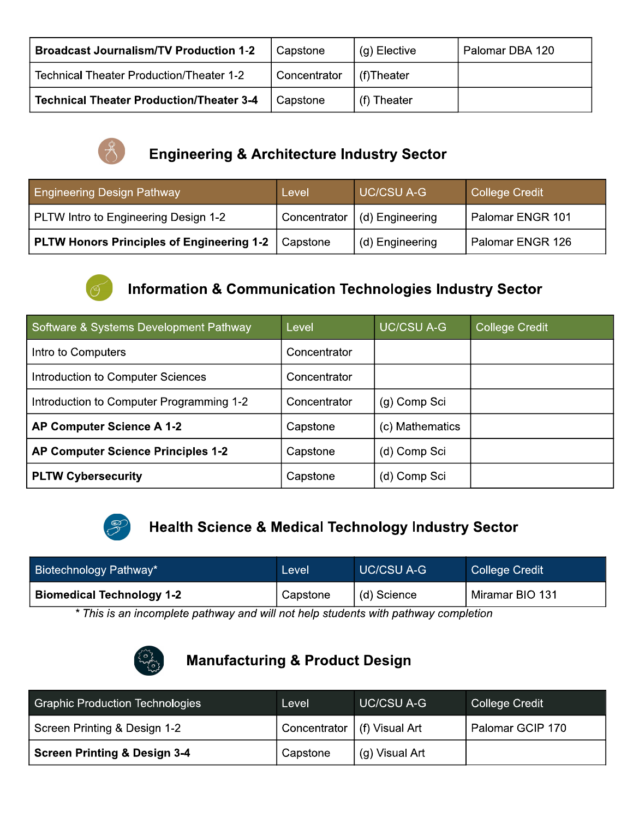| <b>Broadcast Journalism/TV Production 1-2</b>   | Capstone     | (g) Elective | Palomar DBA 120 |
|-------------------------------------------------|--------------|--------------|-----------------|
| Technical Theater Production/Theater 1-2        | Concentrator | l (f)Theater |                 |
| <b>Technical Theater Production/Theater 3-4</b> | Capstone     | (f) Theater  |                 |



## **Engineering & Architecture Industry Sector**

| <b>Engineering Design Pathway</b>                | Level        | UC/CSU A-G      | College Credit   |
|--------------------------------------------------|--------------|-----------------|------------------|
| PLTW Intro to Engineering Design 1-2             | Concentrator | (d) Engineering | Palomar ENGR 101 |
| <b>PLTW Honors Principles of Engineering 1-2</b> | Capstone     | (d) Engineering | Palomar ENGR 126 |



## **Information & Communication Technologies Industry Sector**

| Software & Systems Development Pathway    | Level        | <b>UC/CSU A-G</b> | <b>College Credit</b> |
|-------------------------------------------|--------------|-------------------|-----------------------|
| Intro to Computers                        | Concentrator |                   |                       |
| Introduction to Computer Sciences         | Concentrator |                   |                       |
| Introduction to Computer Programming 1-2  | Concentrator | (g) Comp Sci      |                       |
| AP Computer Science A 1-2                 | Capstone     | (c) Mathematics   |                       |
| <b>AP Computer Science Principles 1-2</b> | Capstone     | (d) Comp Sci      |                       |
| <b>PLTW Cybersecurity</b>                 | Capstone     | (d) Comp Sci      |                       |



## **Health Science & Medical Technology Industry Sector**

|                                                                                | <b>Biotechnology Pathway*</b> | <b>UC/CSU A-G</b><br><b>College Credit</b><br>Level |  |
|--------------------------------------------------------------------------------|-------------------------------|-----------------------------------------------------|--|
| Miramar BIO 131<br><b>Biomedical Technology 1-2</b><br>(d) Science<br>Capstone |                               |                                                     |  |

\* This is an incomplete pathway and will not help students with pathway completion



## **Manufacturing & Product Design**

| <b>Graphic Production Technologies</b> | Level                         | <b>UC/CSU A-G</b> | College Credit   |
|----------------------------------------|-------------------------------|-------------------|------------------|
| Screen Printing & Design 1-2           | Concentrator   (f) Visual Art |                   | Palomar GCIP 170 |
| Screen Printing & Design 3-4           | Capstone                      | (g) Visual Art    |                  |